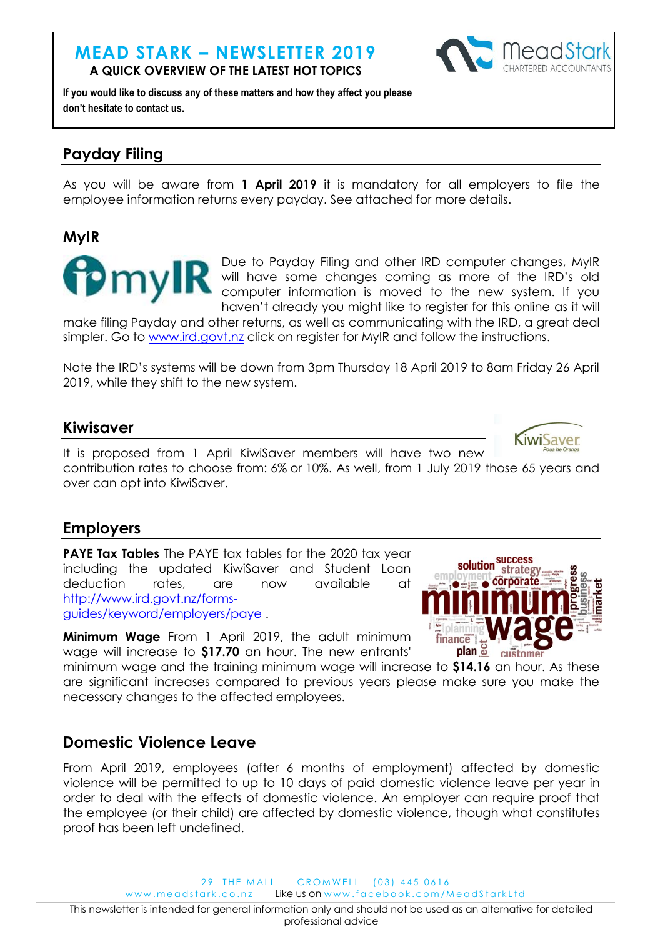### **MEAD STARK – NEWSLETTER 2019 A QUICK OVERVIEW OF THE LATEST HOT TOPICS**



**If you would like to discuss any of these matters and how they affect you please don't hesitate to contact us.**

# **Payday Filing**

As you will be aware from 1 April 2019 it is mandatory for all employers to file the employee information returns every payday. See attached for more details.

### **MyIR**



Due to Payday Filing and other IRD computer changes, MyIR will have some changes coming as more of the IRD's old computer information is moved to the new system. If you haven't already you might like to register for this online as it will

make filing Payday and other returns, as well as communicating with the IRD, a great deal simpler. Go to [www.ird.govt.nz](http://www.ird.govt.nz/) click on register for MyIR and follow the instructions.

Note the IRD's systems will be down from 3pm Thursday 18 April 2019 to 8am Friday 26 April 2019, while they shift to the new system.

### **Kiwisaver**

**IWISAVer** It is proposed from 1 April KiwiSaver members will have two new contribution rates to choose from: 6% or 10%. As well, from 1 July 2019 those 65 years and over can opt into KiwiSaver.

## **Employers**

**PAYE Tax Tables** The PAYE tax tables for the 2020 tax year including the updated KiwiSaver and Student Loan deduction rates, are now available at [http://www.ird.govt.nz/forms](http://www.ird.govt.nz/forms-guides/keyword/employers/paye)[guides/keyword/employers/paye](http://www.ird.govt.nz/forms-guides/keyword/employers/paye) .

**Minimum Wage** From 1 April 2019, the adult minimum wage will increase to **\$17.70** an hour. The new entrants'

minimum wage and the training minimum wage will increase to **\$14.16** an hour. As these are significant increases compared to previous years please make sure you make the necessary changes to the affected employees.

# **Domestic Violence Leave**

From April 2019, employees (after 6 months of employment) affected by domestic violence will be permitted to up to 10 days of paid domestic violence leave per year in order to deal with the effects of domestic violence. An employer can require proof that the employee (or their child) are affected by domestic violence, though what constitutes proof has been left undefined.

29 THE MALL CROMWELL (03) 445 0616

www.meadstark.co.nz Like us on www.facebook.com/MeadStarkLtd

This newsletter is intended for general information only and should not be used as an alternative for detailed professional advice